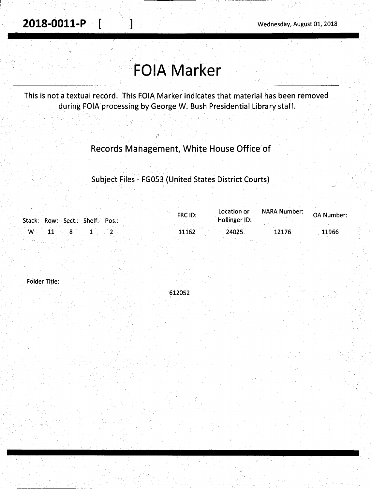**2018-0011-P [**  $\blacksquare$  ] Wednesday, August 01, 2018

# **FOIA Marker**

This is not a textual record. This FOIA Marker indicates that material has been removed during FOIA processing by George W. Bush Presidential Library staff.

## Records Management, White House Office of

Subject Files. - FG053 (United States District Courts)

| Stack: Row: Sect.: Shelf: Pos.: | FRC ID: | Location or<br>Hollinger ID: | NARA Number: | <b>OA Number:</b> |
|---------------------------------|---------|------------------------------|--------------|-------------------|
| w                               | 11162   | 24025                        | 12176        | 11966             |

Folder Title:

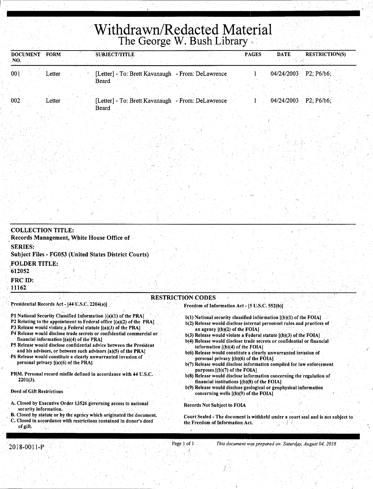## **Withdrawn/Redacted Material**  The George W. Bush Library

| <b>DOCUMENT</b><br>NO. | <b>FORM</b> | <b>SUBJECT/TITLE</b> |                                                   |                                                   | <b>PAGES</b> | <b>DATE</b>             | <b>RESTRICTION(S)</b> |
|------------------------|-------------|----------------------|---------------------------------------------------|---------------------------------------------------|--------------|-------------------------|-----------------------|
| 001                    | ∟etter      |                      | [Letter] - To: Brett Kavanaugh - From: DeLawrence |                                                   |              | $04/24/2003$ P2; P6/b6; |                       |
|                        |             | Beard                |                                                   |                                                   |              |                         |                       |
| 002                    | Letter      |                      |                                                   | [Letter] - To: Brett Kavanaugh - From: DeLawrence |              | 04/24/2003              | $P2$ ; P6/b6;         |
|                        |             | Beard                |                                                   |                                                   |              |                         |                       |

| <b>COLLECTION TITLE:</b>                                                       |                          |                                                |  |
|--------------------------------------------------------------------------------|--------------------------|------------------------------------------------|--|
| Records Management, White House Office of                                      |                          |                                                |  |
| <b>SERIES:</b><br><b>Subject Files - FG053 (United States District Courts)</b> |                          |                                                |  |
| <b>FOLDER TITLE:</b><br>612052                                                 |                          |                                                |  |
| FRC ID:<br>11162                                                               |                          |                                                |  |
|                                                                                | <b>RESTRICTION CODES</b> |                                                |  |
| Presidential Records Act - [44 U.S.C. 2204(a)]                                 |                          | Freedom of Information Act - [5 U.S.C. 552(b)] |  |

#### P1 National Security Classified Information [(a)(1) of the PRA]

- P2 Relating to the appointment to Federal office [(a)(2) of the PRA]
- P3. Release would violate a Federal statute  $[(a)(3)$  of the PRA]
- P4 Release would disclose trade secrets or confidential commercial or
- financial information  $[(a)(4)$  of the PRA]
- PS Release would disclose confidential advice between the President and his advisors, or between such advisors [a)(5) of the PRA]
- P6 Release would constitute a clearly unwarranted invasion of personal privacy [(a)(6) of the PRA]
- PRM. Personal record misfile defined in accordance with 44 U.S.C. 2201(3).
- Deed of Gift Restrictions
- A. Closed by Executive Order 13526 governing access to national security information.
- B. Closed by statute or by the agency which originated the document. C. Closed in accordance with restrictions contained in donor's deed of gift.
- $b(1)$  National security classified information  $[(b)(1)$  of the FOIA] b(2) Release would disclose internal-personnel rules.and practices of
- an agency  $[(b)(2)$  of the FOIA] b(3) Release would violate a Federal statute [(b)(3) of the FOIA]
- b(4) Release would disclose trade secrets or confidential or financial information [(b)(4) of the FOIA]
- b(6) Release would constitute a clearly unwarranted invasion of personal privacy  $[(b)(6)$  of the FOIA]
- b(7) Release would disclose information compiled for law enforcement purposes [(b)(7) of the FOIA]
- b(8) Release would disclose information concerning the regulation of financial institutions [(b)(8) of the FOIA)
- b(9) Release would disclose geological or geophysical information concerning wells [(b)(9) of the FOIA)

Records Not Subject to FOIA

)

Court Sealed - The document is withheld under a court seal and is not subject to the Freedom of Information Act.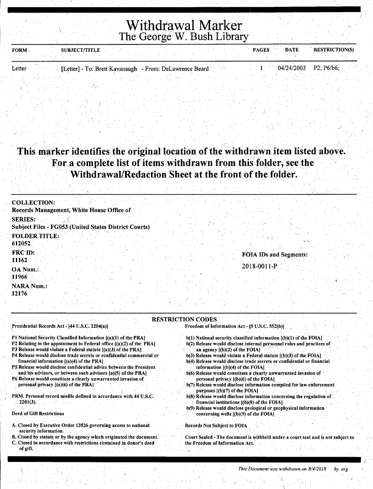Withdrawal Marker The George W. Bush Library

| <b>FORM</b> | <b>SUBJECT/TITLE</b> |                                                         | <b>PAGES</b> | <b>DATE</b>             | <b>RESTRICTION(S)</b> |
|-------------|----------------------|---------------------------------------------------------|--------------|-------------------------|-----------------------|
|             |                      |                                                         |              |                         |                       |
| Letter      |                      | [Letter] - To: Brett Kavanaugh - From: DeLawrence Beard |              | $04/24/2003$ P2; P6/b6; |                       |

### This marker identifies the original location of the withdrawn item listed above. For a complete list of items withdrawn from this folder, see the Withdrawal/Redaction Sheet at the front of the folder.

| <b>COLLECTION:</b>                                                      |                        |
|-------------------------------------------------------------------------|------------------------|
| Records Management, White House Office of                               |                        |
| <b>SERIES:</b><br>Subject Files - FG053 (United States District Courts) |                        |
| <b>FOLDER TITLE:</b>                                                    |                        |
| 612052                                                                  |                        |
| <b>FRC ID:</b><br>11162                                                 | FOIA IDs and Segments: |
| OA Num.:                                                                | 2018-0011-P            |
| <b>11966</b>                                                            |                        |
| NARA Num.:<br>12176                                                     |                        |

#### RESTRICTION CODES

Presidential Records Act - [44 U.S.C. 2204(a)]

- P1 National Security Classified Information [(a)(1) of the PRA]
- P2 Relating to the appointment to Federal office [(a)(2) of the PRA]
- P3 Release would violate a Federal statute  $[(a)(3)$  of the PRA]
- P4 Release would disclose trade secrets or confidential commercial or financial information  $[(a)(4)$  of the PRA]
- P5 Release would disclose confidential advice between the President and his advisors, or between such advisors  $[a)(5)$  of the PRA]
- P6. Release would constitute a clearly unwarranted invasion of personal privacy  $[(a)(6)$  of the PRA]
- PRM. Personal record misfile defined in accordance with 44 U.S.C.  $2201(3)$ .
- Deed of Gift Restrictions
- A. Closed by Executive Order 13526 governing access to national security information.
- . B. Closed by statute or by the agency which originated the document.
- C. Closed in accordance with restrictions contained in donor's deed of gift.
- Freedom of Information Act [5 U.S.C. 552(b)]
	- $b(1)$  National security classified information  $[(b)(1)$  of the FOIA]
	- b(2) Release would disclose internal personnel rules and practices of . an agency [(b)(2) of the FOIA] . ·' . . . . .
	- $b(3)$  Release would violate a Federal statute  $[(b)(3)$  of the FOIA]
	- b(4) Release would disclose frade secrets or confidential or financial information [(b)(4) of the FOIA]
	- b(6) Release would constitute a clearly unwarranted invasion of personal privacy [(b)(6) of the FOIA] .
	- . b(7) Release would disclose information compiled for law enforcement purposes  $[(b)(7)$  of the FOIA]
	- $b(8)$  Release would disclose information concerning the regulation of. financial institutions  $[(b)(8)$  of the FOIA]
	- b(9) Release would disclose geological or geophysical information concerning wells  $[(b)(9)$  of the FOIA]

Records Not Subject to FOIA

Court Sealed - The document is withheld under a court seal and is not subject to the Freedom of Information Act.